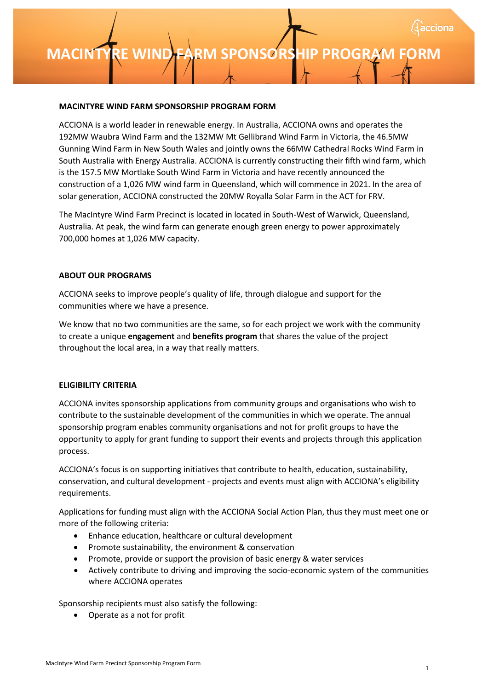### **MACINTYRE [INSERT PROJECT NAME] S WIND FARM SPONSORSHIP PONSORSHIP PROGRAM FORM PROGRAM FORM**

#### **MACINTYRE WIND FARM SPONSORSHIP PROGRAM FORM**

ACCIONA is a world leader in renewable energy. In Australia, ACCIONA owns and operates the 192MW Waubra Wind Farm and the 132MW Mt Gellibrand Wind Farm in Victoria, the 46.5MW Gunning Wind Farm in New South Wales and jointly owns the 66MW Cathedral Rocks Wind Farm in South Australia with Energy Australia. ACCIONA is currently constructing their fifth wind farm, which is the 157.5 MW Mortlake South Wind Farm in Victoria and have recently announced the construction of a 1,026 MW wind farm in Queensland, which will commence in 2021. In the area of solar generation, ACCIONA constructed the 20MW Royalla Solar Farm in the ACT for FRV.

The MacIntyre Wind Farm Precinct is located in located in South-West of Warwick, Queensland, Australia. At peak, the wind farm can generate enough green energy to power approximately 700,000 homes at 1,026 MW capacity.

#### **ABOUT OUR PROGRAMS**

ACCIONA seeks to improve people's quality of life, through dialogue and support for the communities where we have a presence.

We know that no two communities are the same, so for each project we work with the community to create a unique **engagement** and **benefits program** that shares the value of the project throughout the local area, in a way that really matters.

#### **ELIGIBILITY CRITERIA**

ACCIONA invites sponsorship applications from community groups and organisations who wish to contribute to the sustainable development of the communities in which we operate. The annual sponsorship program enables community organisations and not for profit groups to have the opportunity to apply for grant funding to support their events and projects through this application process.

ACCIONA's focus is on supporting initiatives that contribute to health, education, sustainability, conservation, and cultural development - projects and events must align with ACCIONA's eligibility requirements.

Applications for funding must align with the ACCIONA Social Action Plan, thus they must meet one or more of the following criteria:

- Enhance education, healthcare or cultural development
- Promote sustainability, the environment & conservation
- Promote, provide or support the provision of basic energy & water services
- Actively contribute to driving and improving the socio-economic system of the communities where ACCIONA operates

Sponsorship recipients must also satisfy the following:

• Operate as a not for profit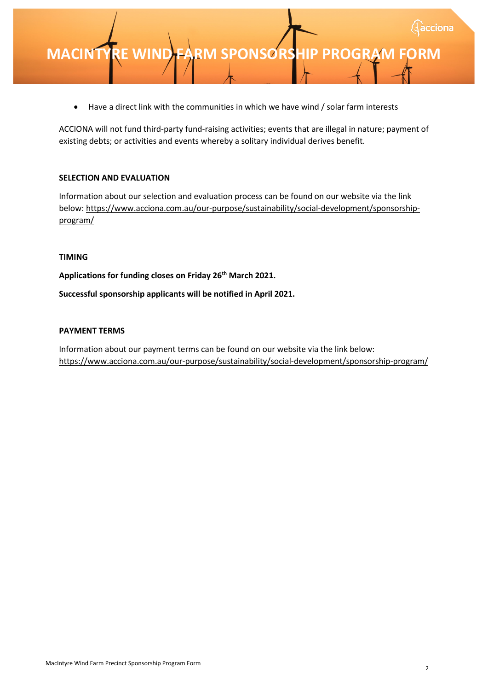• Have a direct link with the communities in which we have wind / solar farm interests

ACCIONA will not fund third-party fund-raising activities; events that are illegal in nature; payment of existing debts; or activities and events whereby a solitary individual derives benefit.

#### **SELECTION AND EVALUATION**

Information about our selection and evaluation process can be found on our website via the link below: https://www.acciona.com.au/our-purpose/sustainability/social-development/sponsorshipprogram/

#### **TIMING**

**Applications for funding closes on Friday 26th March 2021.**

**Successful sponsorship applicants will be notified in April 2021.**

#### **PAYMENT TERMS**

Information about our payment terms can be found on our website via the link below: https://www.acciona.com.au/our-purpose/sustainability/social-development/sponsorship-program/

cciona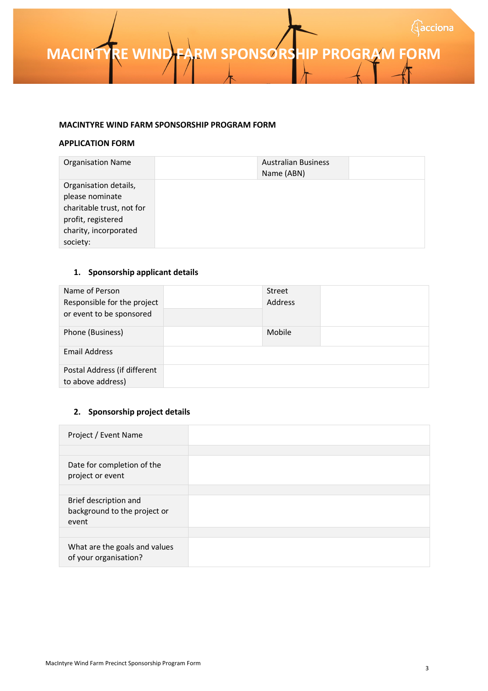**MACINTYRE WIND FARM SPONSORSHIP PROGRAM FORM** 

#### **MACINTYRE WIND FARM SPONSORSHIP PROGRAM FORM**

#### **APPLICATION FORM**

| <b>Organisation Name</b>  | <b>Australian Business</b><br>Name (ABN) |  |
|---------------------------|------------------------------------------|--|
| Organisation details,     |                                          |  |
| please nominate           |                                          |  |
| charitable trust, not for |                                          |  |
| profit, registered        |                                          |  |
| charity, incorporated     |                                          |  |
| society:                  |                                          |  |

#### **1. Sponsorship applicant details**

| Name of Person<br>Responsible for the project<br>or event to be sponsored | Street<br>Address |  |
|---------------------------------------------------------------------------|-------------------|--|
| Phone (Business)                                                          | Mobile            |  |
| Email Address                                                             |                   |  |
| Postal Address (if different<br>to above address)                         |                   |  |

#### **2. Sponsorship project details**

| Project / Event Name                                           |  |
|----------------------------------------------------------------|--|
|                                                                |  |
| Date for completion of the<br>project or event                 |  |
|                                                                |  |
| Brief description and<br>background to the project or<br>event |  |
|                                                                |  |
| What are the goals and values<br>of your organisation?         |  |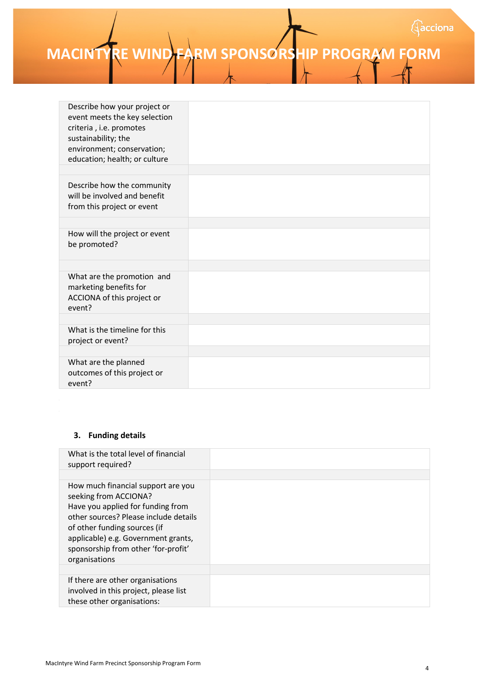# **MACINTYRE WIND FARM SPONSORSHIP PROGRAM FORM**

| Describe how your project or<br>event meets the key selection<br>criteria, i.e. promotes<br>sustainability; the<br>environment; conservation;<br>education; health; or culture |  |
|--------------------------------------------------------------------------------------------------------------------------------------------------------------------------------|--|
|                                                                                                                                                                                |  |
| Describe how the community<br>will be involved and benefit<br>from this project or event                                                                                       |  |
|                                                                                                                                                                                |  |
| How will the project or event<br>be promoted?                                                                                                                                  |  |
|                                                                                                                                                                                |  |
| What are the promotion and<br>marketing benefits for<br>ACCIONA of this project or<br>event?                                                                                   |  |
|                                                                                                                                                                                |  |
| What is the timeline for this<br>project or event?                                                                                                                             |  |
|                                                                                                                                                                                |  |
| What are the planned<br>outcomes of this project or<br>event?                                                                                                                  |  |

#### **3. Funding details**

| What is the total level of financial<br>support required?                                                                                                                                                                                                                |  |
|--------------------------------------------------------------------------------------------------------------------------------------------------------------------------------------------------------------------------------------------------------------------------|--|
| How much financial support are you<br>seeking from ACCIONA?<br>Have you applied for funding from<br>other sources? Please include details<br>of other funding sources (if<br>applicable) e.g. Government grants,<br>sponsorship from other 'for-profit'<br>organisations |  |
|                                                                                                                                                                                                                                                                          |  |
| If there are other organisations<br>involved in this project, please list<br>these other organisations:                                                                                                                                                                  |  |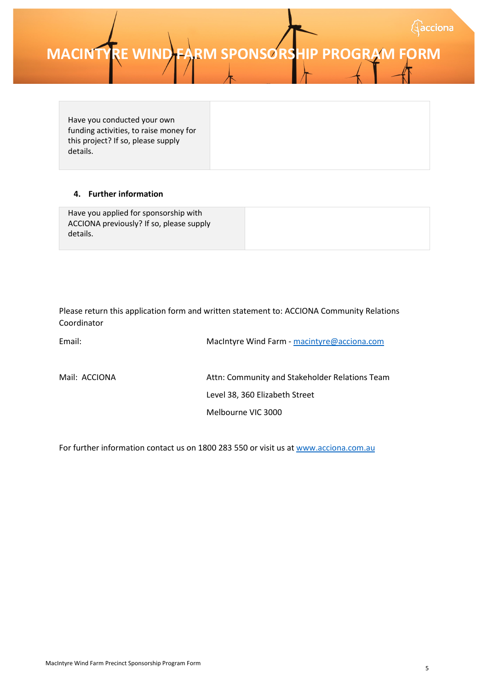### **MACINTYRE WIND FARM SPONSORSHIP PROGRAM FORM**

Have you conducted your own funding activities, to raise money for this project? If so, please supply details.

#### **4. Further information**

|  | Have you applied for sponsorship with<br>ACCIONA previously? If so, please supply<br>details. |  |
|--|-----------------------------------------------------------------------------------------------|--|
|--|-----------------------------------------------------------------------------------------------|--|

Please return this application form and written statement to: ACCIONA Community Relations Coordinator

| Email:        | MacIntyre Wind Farm - macintyre@acciona.com    |
|---------------|------------------------------------------------|
| Mail: ACCIONA | Attn: Community and Stakeholder Relations Team |
|               | Level 38, 360 Elizabeth Street                 |
|               | Melbourne VIC 3000                             |

For further information contact us on 1800 283 550 or visit us a[t www.acciona.com.au](http://www.acciona.com.au/)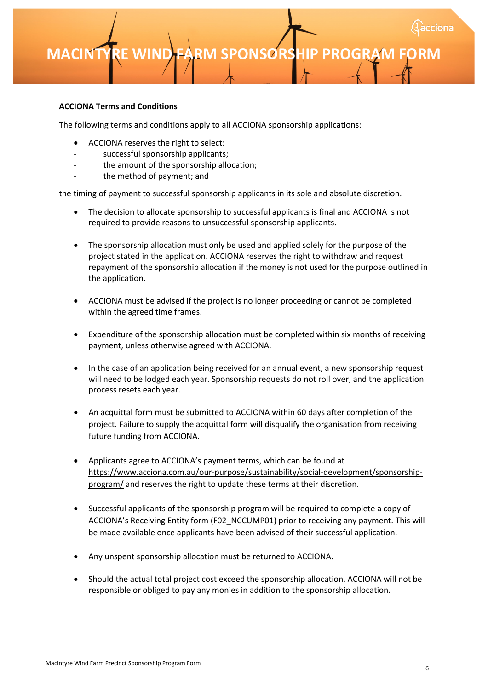### **MACINTYRE [INSERT PROJECT NAME] S WIND FARM SPONSORSHIP PONSORSHIP PROGRAM FORM PROGRAM FORM**

#### **ACCIONA Terms and Conditions**

The following terms and conditions apply to all ACCIONA sponsorship applications:

- ACCIONA reserves the right to select:
- successful sponsorship applicants;
- the amount of the sponsorship allocation;
- the method of payment; and

the timing of payment to successful sponsorship applicants in its sole and absolute discretion.

- The decision to allocate sponsorship to successful applicants is final and ACCIONA is not required to provide reasons to unsuccessful sponsorship applicants.
- The sponsorship allocation must only be used and applied solely for the purpose of the project stated in the application. ACCIONA reserves the right to withdraw and request repayment of the sponsorship allocation if the money is not used for the purpose outlined in the application.
- ACCIONA must be advised if the project is no longer proceeding or cannot be completed within the agreed time frames.
- Expenditure of the sponsorship allocation must be completed within six months of receiving payment, unless otherwise agreed with ACCIONA.
- In the case of an application being received for an annual event, a new sponsorship request will need to be lodged each year. Sponsorship requests do not roll over, and the application process resets each year.
- An acquittal form must be submitted to ACCIONA within 60 days after completion of the project. Failure to supply the acquittal form will disqualify the organisation from receiving future funding from ACCIONA.
- Applicants agree to ACCIONA's payment terms, which can be found at https://www.acciona.com.au/our-purpose/sustainability/social-development/sponsorshipprogram/ and reserves the right to update these terms at their discretion.
- Successful applicants of the sponsorship program will be required to complete a copy of ACCIONA's Receiving Entity form (F02\_NCCUMP01) prior to receiving any payment. This will be made available once applicants have been advised of their successful application.
- Any unspent sponsorship allocation must be returned to ACCIONA.
- Should the actual total project cost exceed the sponsorship allocation, ACCIONA will not be responsible or obliged to pay any monies in addition to the sponsorship allocation.